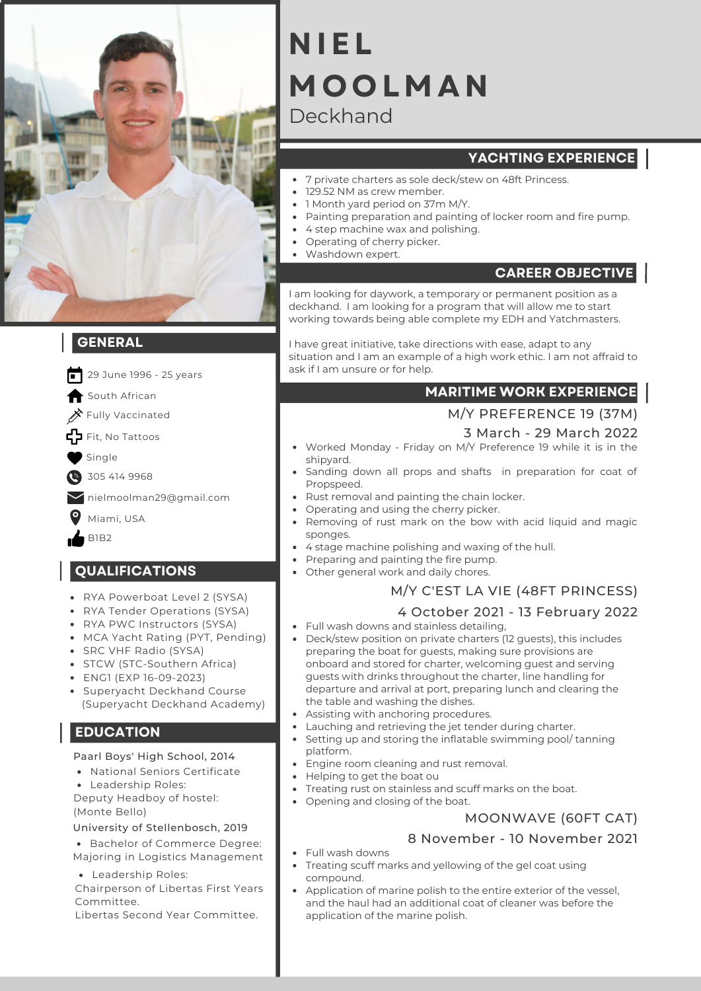

## **GENERAL**

- **INFORMATION** 29 June 1996 - 25 years
- South African
- $\gg$  Fully Vaccinated
- Fit, No Tattoos
- Single
- 305 414 9968  $\bullet$
- nielmoolman29@gmail.com
- Miami, USA
- B1B2

#### **QUALIFICATIONS**

- RYA Powerboat Level 2 (SYSA)
- RYA Tender Operations (SYSA)
- RYA PWC Instructors (SYSA)
- MCA Yacht Rating (PYT, Pending)
- SRC VHF Radio (SYSA)
- STCW (STC-Southern Africa)
- ENG1 (EXP 16-09-2023)
- Supervacht Deckhand Course (Superyacht Deckhand Academy)

## **EDUCATION**

Paarl Boys' High School, 2014

- National Seniors Certificate
- Leadership Roles:

Deputy Headboy of hostel: (Monte Bello)

#### University of Stellenbosch, 2019

Bachelor of Commerce Degree: Majoring in Logistics Management

Leadership Roles:

Chairperson of Libertas First Years Committee.

Libertas Second Year Committee.

# Deckhand **NIEL MO O LMAN**

# **YACHTING EXPERIENCE**

- 7 private charters as sole deck/stew on 48ft Princess.
- 129.52 NM as crew member.
- 1 Month yard period on 37m M/Y.
- Painting preparation and painting of locker room and fire pump.
- 4 step machine wax and polishing.
- Operating of cherry picker.
- Washdown expert.

# **CAREER OBJECTIVE**

I am looking for daywork, a temporary or permanent position as a deckhand. I am looking for a program that will allow me to start working towards being able complete my EDH and Yatchmasters.

I have great initiative, take directions with ease, adapt to any situation and I am an example of a high work ethic. I am not affraid to ask if I am unsure or for help.

# **MARITIME WORK EXPERIENCE**

#### M/Y PREFERENCE 19 (37M)

#### 3 March - 29 March 2022

- Worked Monday Friday on M/Y Preference 19 while it is in the shipyard.
- Sanding down all props and shafts in preparation for coat of Propspeed.
- Rust removal and painting the chain locker.
- Operating and using the cherry picker.
- Removing of rust mark on the bow with acid liquid and magic sponges.
- 4 stage machine polishing and waxing of the hull.
- Preparing and painting the fire pump.
- Other general work and daily chores.

# M/Y C'EST LA VIE (48FT PRINCESS)

#### 4 October 2021 - 13 February 2022

- Full wash downs and stainless detailing,
- Deck/stew position on private charters (12 guests), this includes preparing the boat for guests, making sure provisions are onboard and stored for charter, welcoming guest and serving guests with drinks throughout the charter, line handling for departure and arrival at port, preparing lunch and clearing the the table and washing the dishes.
- Assisting with anchoring procedures.
- Lauching and retrieving the jet tender during charter.
- Setting up and storing the inflatable swimming pool/ tanning platform.
- Engine room cleaning and rust removal.
- Helping to get the boat ou
- Treating rust on stainless and scuff marks on the boat.
- Opening and closing of the boat.

## MOONWAVE (60FT CAT)

#### 8 November - 10 November 2021

- Full wash downs
- Treating scuff marks and yellowing of the gel coat using compound.
- Application of marine polish to the entire exterior of the vessel, and the haul had an additional coat of cleaner was before the application of the marine polish.